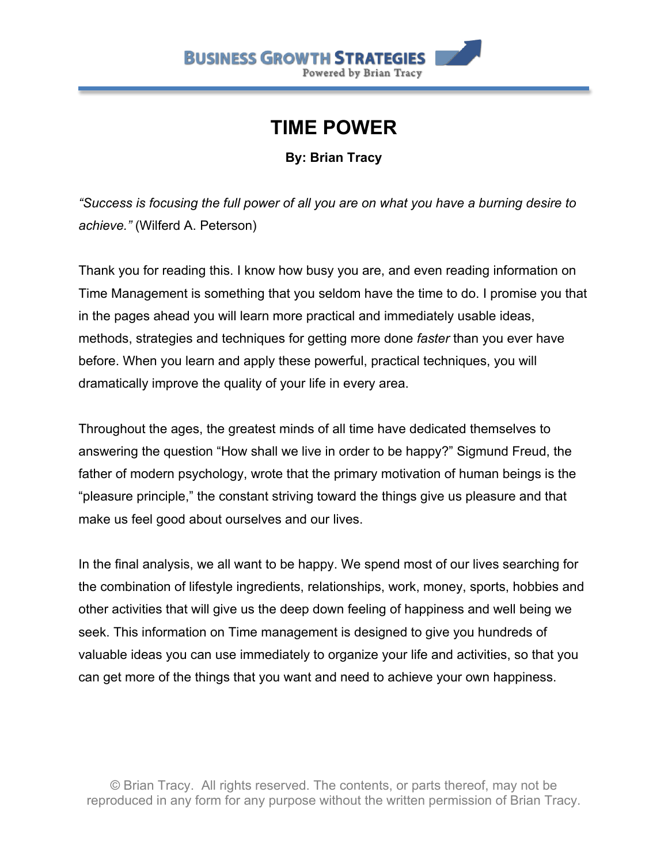

# **TIME POWER**

**By: Brian Tracy**

*"Success is focusing the full power of all you are on what you have a burning desire to achieve."* (Wilferd A. Peterson)

Thank you for reading this. I know how busy you are, and even reading information on Time Management is something that you seldom have the time to do. I promise you that in the pages ahead you will learn more practical and immediately usable ideas, methods, strategies and techniques for getting more done *faster* than you ever have before. When you learn and apply these powerful, practical techniques, you will dramatically improve the quality of your life in every area.

Throughout the ages, the greatest minds of all time have dedicated themselves to answering the question "How shall we live in order to be happy?" Sigmund Freud, the father of modern psychology, wrote that the primary motivation of human beings is the "pleasure principle," the constant striving toward the things give us pleasure and that make us feel good about ourselves and our lives.

In the final analysis, we all want to be happy. We spend most of our lives searching for the combination of lifestyle ingredients, relationships, work, money, sports, hobbies and other activities that will give us the deep down feeling of happiness and well being we seek. This information on Time management is designed to give you hundreds of valuable ideas you can use immediately to organize your life and activities, so that you can get more of the things that you want and need to achieve your own happiness.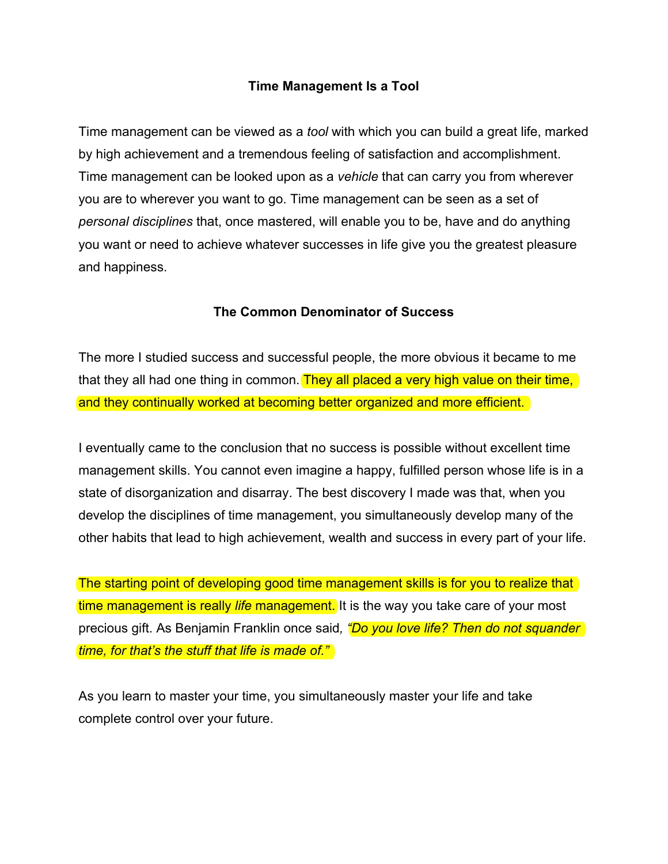#### **Time Management Is a Tool**

Time management can be viewed as a *tool* with which you can build a great life, marked by high achievement and a tremendous feeling of satisfaction and accomplishment. Time management can be looked upon as a *vehicle* that can carry you from wherever you are to wherever you want to go. Time management can be seen as a set of *personal disciplines* that, once mastered, will enable you to be, have and do anything you want or need to achieve whatever successes in life give you the greatest pleasure and happiness.

#### **The Common Denominator of Success**

The more I studied success and successful people, the more obvious it became to me that they all had one thing in common. They all placed a very high value on their time, and they continually worked at becoming better organized and more efficient.

I eventually came to the conclusion that no success is possible without excellent time management skills. You cannot even imagine a happy, fulfilled person whose life is in a state of disorganization and disarray. The best discovery I made was that, when you develop the disciplines of time management, you simultaneously develop many of the other habits that lead to high achievement, wealth and success in every part of your life.

The starting point of developing good time management skills is for you to realize that time management is really *life* management. It is the way you take care of your most precious gift. As Benjamin Franklin once said*, "Do you love life? Then do not squander time, for that's the stuff that life is made of."*

As you learn to master your time, you simultaneously master your life and take complete control over your future.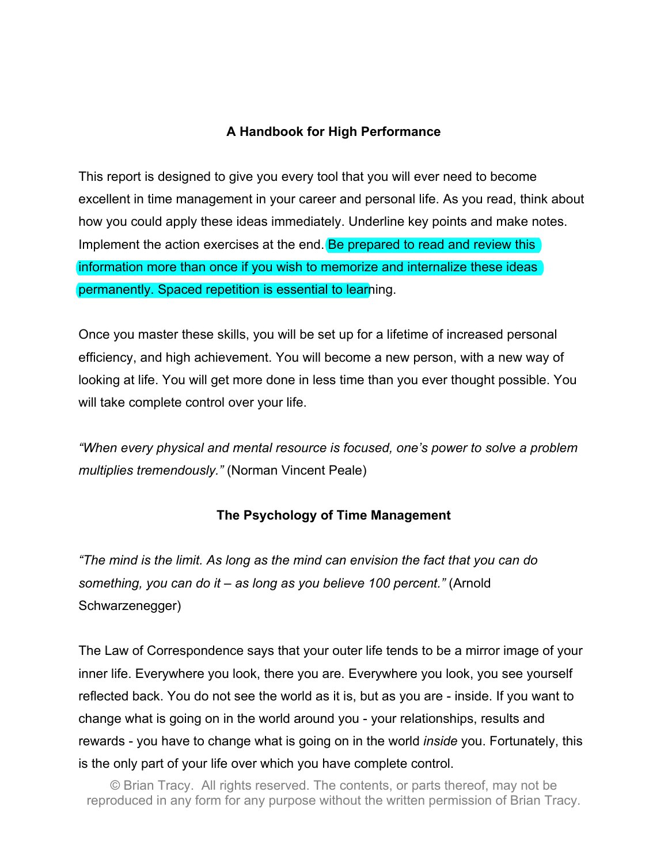# **A Handbook for High Performance**

This report is designed to give you every tool that you will ever need to become excellent in time management in your career and personal life. As you read, think about how you could apply these ideas immediately. Underline key points and make notes. Implement the action exercises at the end. Be prepared to read and review this information more than once if you wish to memorize and internalize these ideas permanently. Spaced repetition is essential to learning.

Once you master these skills, you will be set up for a lifetime of increased personal efficiency, and high achievement. You will become a new person, with a new way of looking at life. You will get more done in less time than you ever thought possible. You will take complete control over your life.

*"When every physical and mental resource is focused, one's power to solve a problem multiplies tremendously."* (Norman Vincent Peale)

# **The Psychology of Time Management**

*"The mind is the limit. As long as the mind can envision the fact that you can do something, you can do it – as long as you believe 100 percent."* (Arnold Schwarzenegger)

The Law of Correspondence says that your outer life tends to be a mirror image of your inner life. Everywhere you look, there you are. Everywhere you look, you see yourself reflected back. You do not see the world as it is, but as you are - inside. If you want to change what is going on in the world around you - your relationships, results and rewards - you have to change what is going on in the world *inside* you. Fortunately, this is the only part of your life over which you have complete control.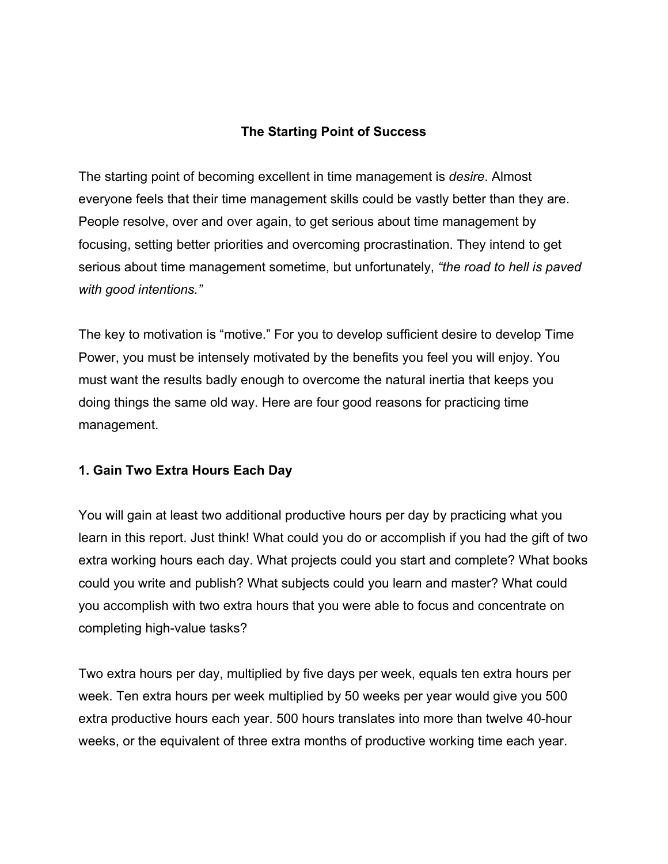# **The Starting Point of Success**

The starting point of becoming excellent in time management is *desire*. Almost everyone feels that their time management skills could be vastly better than they are. People resolve, over and over again, to get serious about time management by focusing, setting better priorities and overcoming procrastination. They intend to get serious about time management sometime, but unfortunately, *"the road to hell is paved with good intentions."*

The key to motivation is "motive." For you to develop sufficient desire to develop Time Power, you must be intensely motivated by the benefits you feel you will enjoy. You must want the results badly enough to overcome the natural inertia that keeps you doing things the same old way. Here are four good reasons for practicing time management.

# **1. Gain Two Extra Hours Each Day**

You will gain at least two additional productive hours per day by practicing what you learn in this report. Just think! What could you do or accomplish if you had the gift of two extra working hours each day. What projects could you start and complete? What books could you write and publish? What subjects could you learn and master? What could you accomplish with two extra hours that you were able to focus and concentrate on completing high-value tasks?

Two extra hours per day, multiplied by five days per week, equals ten extra hours per week. Ten extra hours per week multiplied by 50 weeks per year would give you 500 extra productive hours each year. 500 hours translates into more than twelve 40-hour weeks, or the equivalent of three extra months of productive working time each year.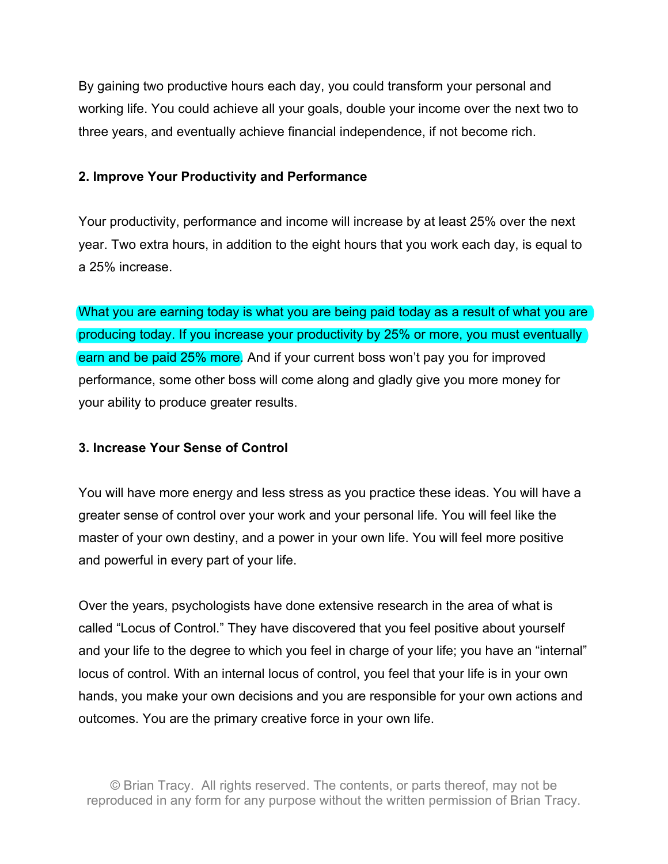By gaining two productive hours each day, you could transform your personal and working life. You could achieve all your goals, double your income over the next two to three years, and eventually achieve financial independence, if not become rich.

#### **2. Improve Your Productivity and Performance**

Your productivity, performance and income will increase by at least 25% over the next year. Two extra hours, in addition to the eight hours that you work each day, is equal to a 25% increase.

What you are earning today is what you are being paid today as a result of what you are producing today. If you increase your productivity by 25% or more, you must eventually earn and be paid 25% more. And if your current boss won't pay you for improved performance, some other boss will come along and gladly give you more money for your ability to produce greater results.

# **3. Increase Your Sense of Control**

You will have more energy and less stress as you practice these ideas. You will have a greater sense of control over your work and your personal life. You will feel like the master of your own destiny, and a power in your own life. You will feel more positive and powerful in every part of your life.

Over the years, psychologists have done extensive research in the area of what is called "Locus of Control." They have discovered that you feel positive about yourself and your life to the degree to which you feel in charge of your life; you have an "internal" locus of control. With an internal locus of control, you feel that your life is in your own hands, you make your own decisions and you are responsible for your own actions and outcomes. You are the primary creative force in your own life.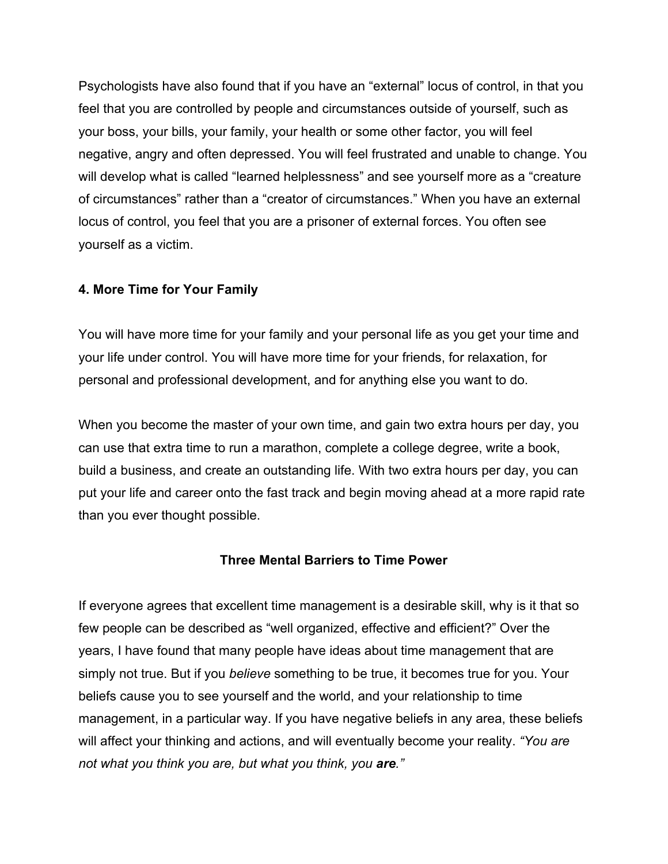Psychologists have also found that if you have an "external" locus of control, in that you feel that you are controlled by people and circumstances outside of yourself, such as your boss, your bills, your family, your health or some other factor, you will feel negative, angry and often depressed. You will feel frustrated and unable to change. You will develop what is called "learned helplessness" and see yourself more as a "creature of circumstances" rather than a "creator of circumstances." When you have an external locus of control, you feel that you are a prisoner of external forces. You often see yourself as a victim.

#### **4. More Time for Your Family**

You will have more time for your family and your personal life as you get your time and your life under control. You will have more time for your friends, for relaxation, for personal and professional development, and for anything else you want to do.

When you become the master of your own time, and gain two extra hours per day, you can use that extra time to run a marathon, complete a college degree, write a book, build a business, and create an outstanding life. With two extra hours per day, you can put your life and career onto the fast track and begin moving ahead at a more rapid rate than you ever thought possible.

# **Three Mental Barriers to Time Power**

If everyone agrees that excellent time management is a desirable skill, why is it that so few people can be described as "well organized, effective and efficient?" Over the years, I have found that many people have ideas about time management that are simply not true. But if you *believe* something to be true, it becomes true for you. Your beliefs cause you to see yourself and the world, and your relationship to time management, in a particular way. If you have negative beliefs in any area, these beliefs will affect your thinking and actions, and will eventually become your reality. *"You are not what you think you are, but what you think, you are."*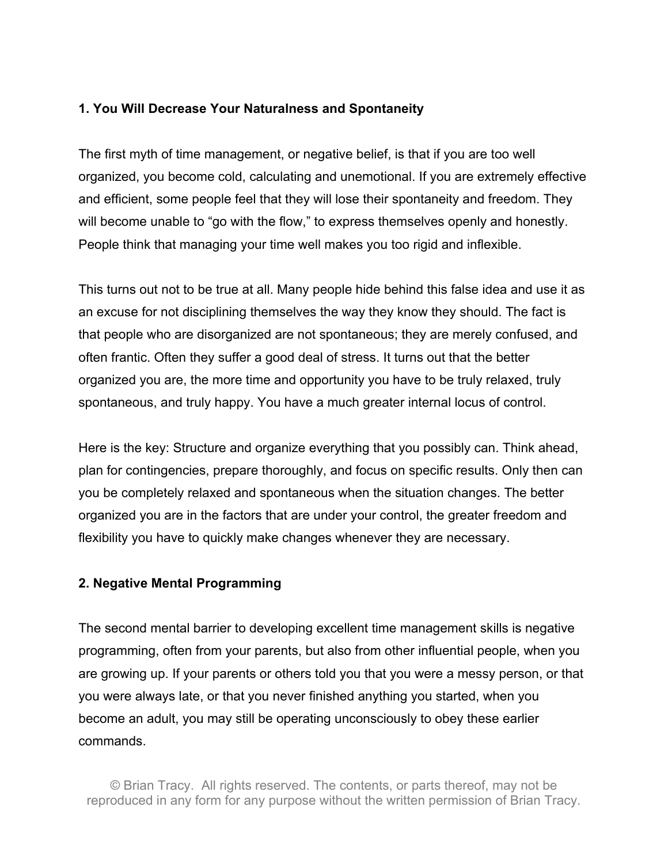#### **1. You Will Decrease Your Naturalness and Spontaneity**

The first myth of time management, or negative belief, is that if you are too well organized, you become cold, calculating and unemotional. If you are extremely effective and efficient, some people feel that they will lose their spontaneity and freedom. They will become unable to "go with the flow," to express themselves openly and honestly. People think that managing your time well makes you too rigid and inflexible.

This turns out not to be true at all. Many people hide behind this false idea and use it as an excuse for not disciplining themselves the way they know they should. The fact is that people who are disorganized are not spontaneous; they are merely confused, and often frantic. Often they suffer a good deal of stress. It turns out that the better organized you are, the more time and opportunity you have to be truly relaxed, truly spontaneous, and truly happy. You have a much greater internal locus of control.

Here is the key: Structure and organize everything that you possibly can. Think ahead, plan for contingencies, prepare thoroughly, and focus on specific results. Only then can you be completely relaxed and spontaneous when the situation changes. The better organized you are in the factors that are under your control, the greater freedom and flexibility you have to quickly make changes whenever they are necessary.

#### **2. Negative Mental Programming**

The second mental barrier to developing excellent time management skills is negative programming, often from your parents, but also from other influential people, when you are growing up. If your parents or others told you that you were a messy person, or that you were always late, or that you never finished anything you started, when you become an adult, you may still be operating unconsciously to obey these earlier commands.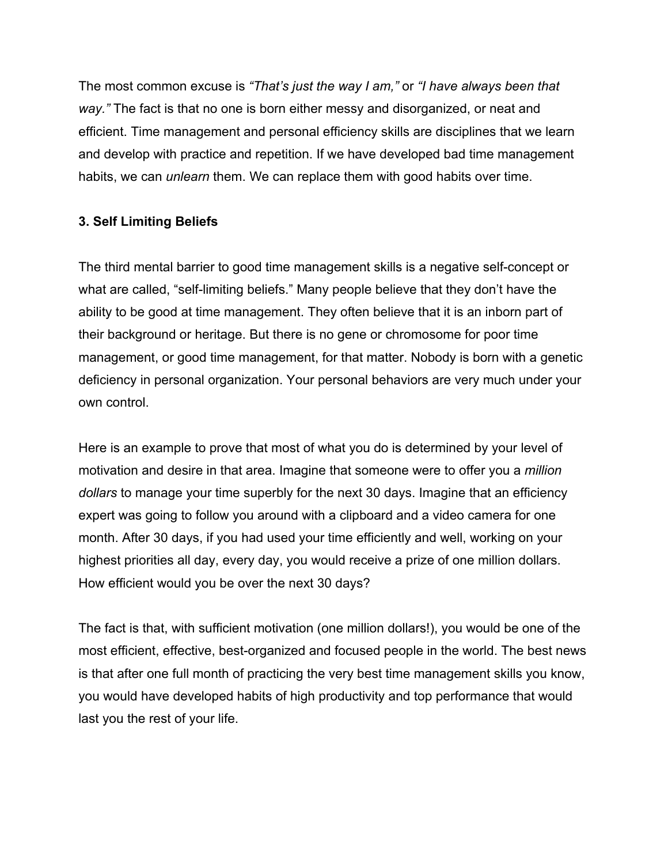The most common excuse is *"That's just the way I am,"* or *"I have always been that way."* The fact is that no one is born either messy and disorganized, or neat and efficient. Time management and personal efficiency skills are disciplines that we learn and develop with practice and repetition. If we have developed bad time management habits, we can *unlearn* them. We can replace them with good habits over time.

# **3. Self Limiting Beliefs**

The third mental barrier to good time management skills is a negative self-concept or what are called, "self-limiting beliefs." Many people believe that they don't have the ability to be good at time management. They often believe that it is an inborn part of their background or heritage. But there is no gene or chromosome for poor time management, or good time management, for that matter. Nobody is born with a genetic deficiency in personal organization. Your personal behaviors are very much under your own control.

Here is an example to prove that most of what you do is determined by your level of motivation and desire in that area. Imagine that someone were to offer you a *million dollars* to manage your time superbly for the next 30 days. Imagine that an efficiency expert was going to follow you around with a clipboard and a video camera for one month. After 30 days, if you had used your time efficiently and well, working on your highest priorities all day, every day, you would receive a prize of one million dollars. How efficient would you be over the next 30 days?

The fact is that, with sufficient motivation (one million dollars!), you would be one of the most efficient, effective, best-organized and focused people in the world. The best news is that after one full month of practicing the very best time management skills you know, you would have developed habits of high productivity and top performance that would last you the rest of your life.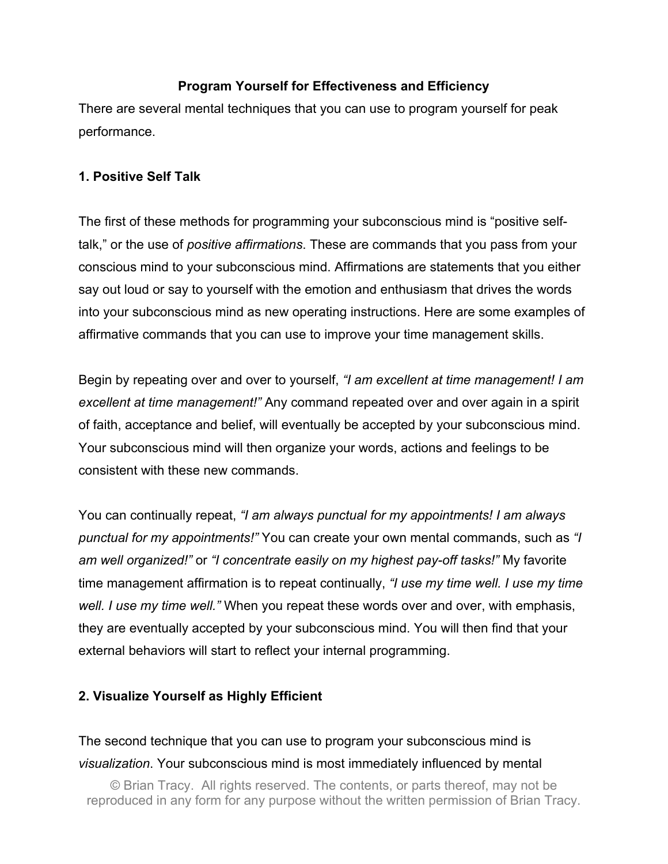# **Program Yourself for Effectiveness and Efficiency**

There are several mental techniques that you can use to program yourself for peak performance.

# **1. Positive Self Talk**

The first of these methods for programming your subconscious mind is "positive selftalk," or the use of *positive affirmations*. These are commands that you pass from your conscious mind to your subconscious mind. Affirmations are statements that you either say out loud or say to yourself with the emotion and enthusiasm that drives the words into your subconscious mind as new operating instructions. Here are some examples of affirmative commands that you can use to improve your time management skills.

Begin by repeating over and over to yourself, *"I am excellent at time management! I am excellent at time management!"* Any command repeated over and over again in a spirit of faith, acceptance and belief, will eventually be accepted by your subconscious mind. Your subconscious mind will then organize your words, actions and feelings to be consistent with these new commands.

You can continually repeat, *"I am always punctual for my appointments! I am always punctual for my appointments!"* You can create your own mental commands, such as *"I am well organized!"* or *"I concentrate easily on my highest pay-off tasks!"* My favorite time management affirmation is to repeat continually, *"I use my time well. I use my time well. I use my time well."* When you repeat these words over and over, with emphasis, they are eventually accepted by your subconscious mind. You will then find that your external behaviors will start to reflect your internal programming.

# **2. Visualize Yourself as Highly Efficient**

# The second technique that you can use to program your subconscious mind is *visualization*. Your subconscious mind is most immediately influenced by mental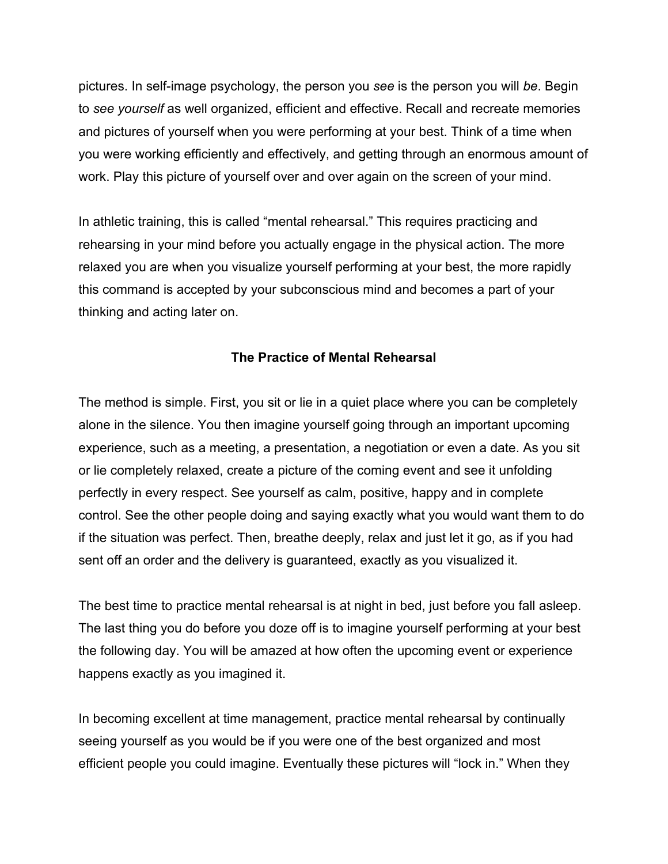pictures. In self-image psychology, the person you *see* is the person you will *be*. Begin to *see yourself* as well organized, efficient and effective. Recall and recreate memories and pictures of yourself when you were performing at your best. Think of a time when you were working efficiently and effectively, and getting through an enormous amount of work. Play this picture of yourself over and over again on the screen of your mind.

In athletic training, this is called "mental rehearsal." This requires practicing and rehearsing in your mind before you actually engage in the physical action. The more relaxed you are when you visualize yourself performing at your best, the more rapidly this command is accepted by your subconscious mind and becomes a part of your thinking and acting later on.

# **The Practice of Mental Rehearsal**

The method is simple. First, you sit or lie in a quiet place where you can be completely alone in the silence. You then imagine yourself going through an important upcoming experience, such as a meeting, a presentation, a negotiation or even a date. As you sit or lie completely relaxed, create a picture of the coming event and see it unfolding perfectly in every respect. See yourself as calm, positive, happy and in complete control. See the other people doing and saying exactly what you would want them to do if the situation was perfect. Then, breathe deeply, relax and just let it go, as if you had sent off an order and the delivery is guaranteed, exactly as you visualized it.

The best time to practice mental rehearsal is at night in bed, just before you fall asleep. The last thing you do before you doze off is to imagine yourself performing at your best the following day. You will be amazed at how often the upcoming event or experience happens exactly as you imagined it.

In becoming excellent at time management, practice mental rehearsal by continually seeing yourself as you would be if you were one of the best organized and most efficient people you could imagine. Eventually these pictures will "lock in." When they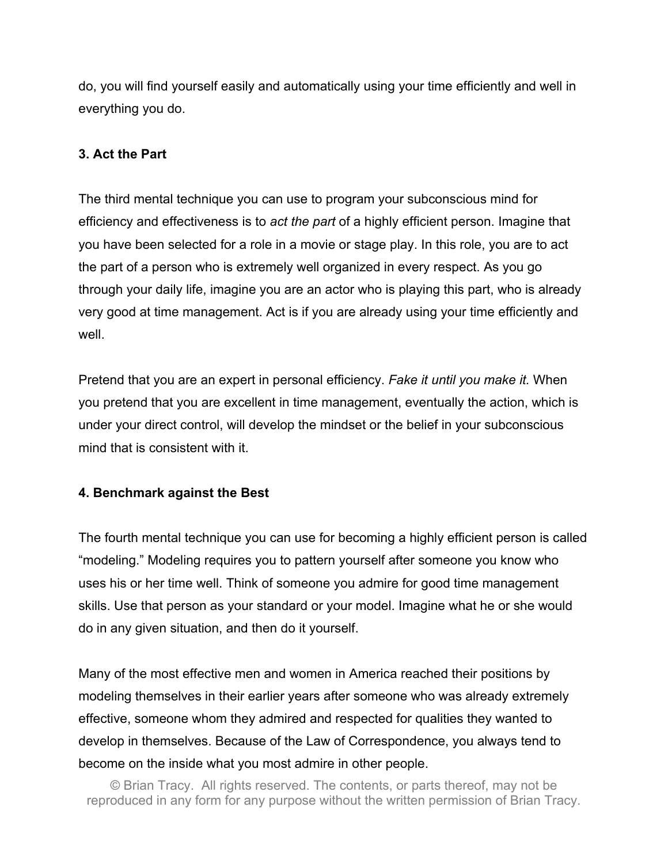do, you will find yourself easily and automatically using your time efficiently and well in everything you do.

# **3. Act the Part**

The third mental technique you can use to program your subconscious mind for efficiency and effectiveness is to *act the part* of a highly efficient person. Imagine that you have been selected for a role in a movie or stage play. In this role, you are to act the part of a person who is extremely well organized in every respect. As you go through your daily life, imagine you are an actor who is playing this part, who is already very good at time management. Act is if you are already using your time efficiently and well.

Pretend that you are an expert in personal efficiency. *Fake it until you make it.* When you pretend that you are excellent in time management, eventually the action, which is under your direct control, will develop the mindset or the belief in your subconscious mind that is consistent with it.

# **4. Benchmark against the Best**

The fourth mental technique you can use for becoming a highly efficient person is called "modeling." Modeling requires you to pattern yourself after someone you know who uses his or her time well. Think of someone you admire for good time management skills. Use that person as your standard or your model. Imagine what he or she would do in any given situation, and then do it yourself.

Many of the most effective men and women in America reached their positions by modeling themselves in their earlier years after someone who was already extremely effective, someone whom they admired and respected for qualities they wanted to develop in themselves. Because of the Law of Correspondence, you always tend to become on the inside what you most admire in other people.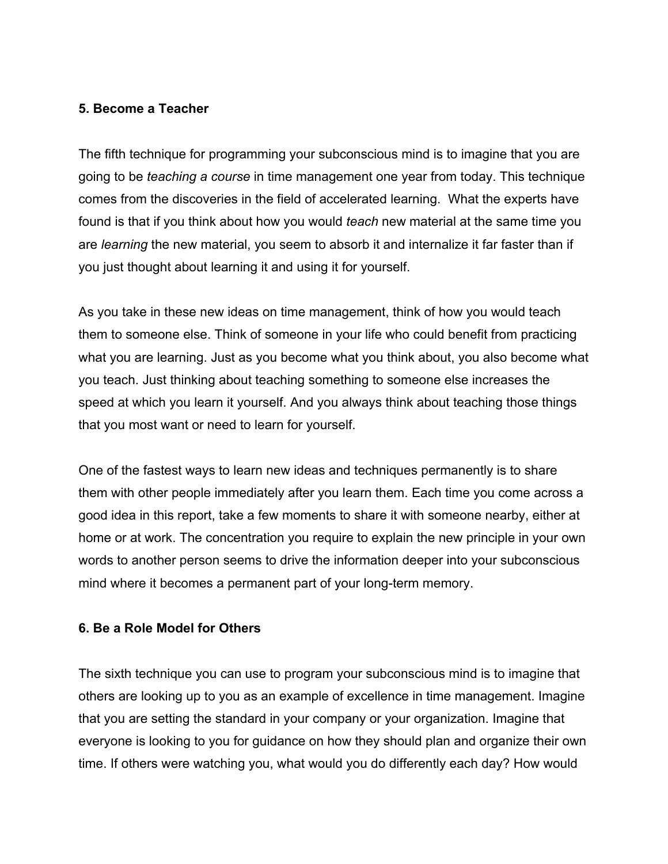#### **5. Become a Teacher**

The fifth technique for programming your subconscious mind is to imagine that you are going to be *teaching a course* in time management one year from today. This technique comes from the discoveries in the field of accelerated learning. What the experts have found is that if you think about how you would *teach* new material at the same time you are *learning* the new material, you seem to absorb it and internalize it far faster than if you just thought about learning it and using it for yourself.

As you take in these new ideas on time management, think of how you would teach them to someone else. Think of someone in your life who could benefit from practicing what you are learning. Just as you become what you think about, you also become what you teach. Just thinking about teaching something to someone else increases the speed at which you learn it yourself. And you always think about teaching those things that you most want or need to learn for yourself.

One of the fastest ways to learn new ideas and techniques permanently is to share them with other people immediately after you learn them. Each time you come across a good idea in this report, take a few moments to share it with someone nearby, either at home or at work. The concentration you require to explain the new principle in your own words to another person seems to drive the information deeper into your subconscious mind where it becomes a permanent part of your long-term memory.

#### **6. Be a Role Model for Others**

The sixth technique you can use to program your subconscious mind is to imagine that others are looking up to you as an example of excellence in time management. Imagine that you are setting the standard in your company or your organization. Imagine that everyone is looking to you for guidance on how they should plan and organize their own time. If others were watching you, what would you do differently each day? How would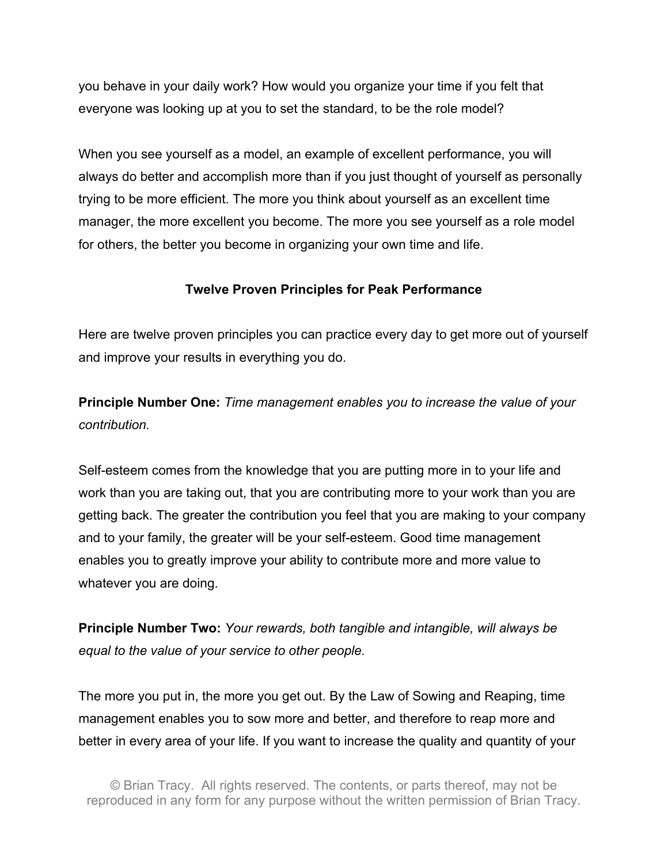you behave in your daily work? How would you organize your time if you felt that everyone was looking up at you to set the standard, to be the role model?

When you see yourself as a model, an example of excellent performance, you will always do better and accomplish more than if you just thought of yourself as personally trying to be more efficient. The more you think about yourself as an excellent time manager, the more excellent you become. The more you see yourself as a role model for others, the better you become in organizing your own time and life.

#### **Twelve Proven Principles for Peak Performance**

Here are twelve proven principles you can practice every day to get more out of yourself and improve your results in everything you do.

**Principle Number One:** *Time management enables you to increase the value of your contribution.*

Self-esteem comes from the knowledge that you are putting more in to your life and work than you are taking out, that you are contributing more to your work than you are getting back. The greater the contribution you feel that you are making to your company and to your family, the greater will be your self-esteem. Good time management enables you to greatly improve your ability to contribute more and more value to whatever you are doing.

**Principle Number Two:** *Your rewards, both tangible and intangible, will always be equal to the value of your service to other people.*

The more you put in, the more you get out. By the Law of Sowing and Reaping, time management enables you to sow more and better, and therefore to reap more and better in every area of your life. If you want to increase the quality and quantity of your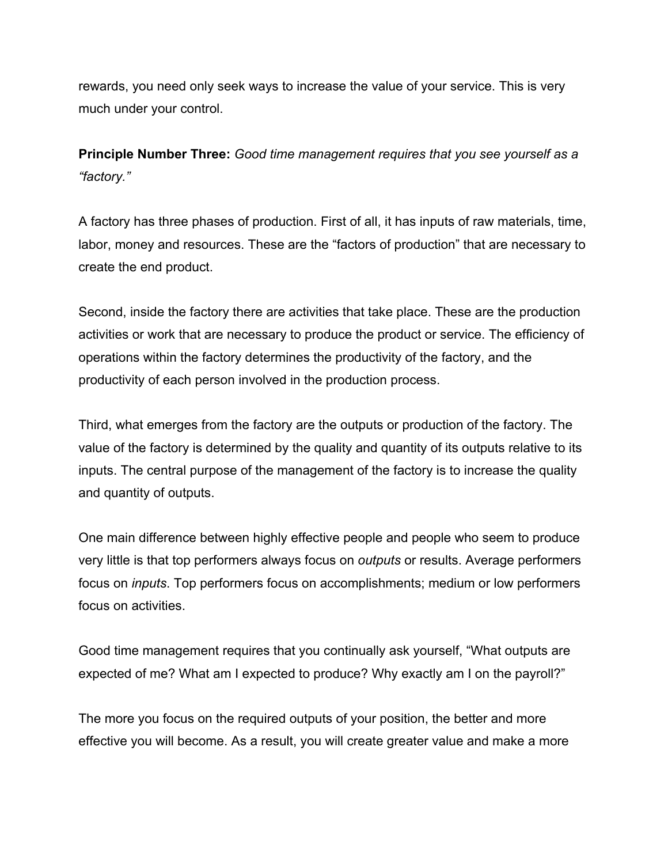rewards, you need only seek ways to increase the value of your service. This is very much under your control.

**Principle Number Three:** *Good time management requires that you see yourself as a "factory."*

A factory has three phases of production. First of all, it has inputs of raw materials, time, labor, money and resources. These are the "factors of production" that are necessary to create the end product.

Second, inside the factory there are activities that take place. These are the production activities or work that are necessary to produce the product or service. The efficiency of operations within the factory determines the productivity of the factory, and the productivity of each person involved in the production process.

Third, what emerges from the factory are the outputs or production of the factory. The value of the factory is determined by the quality and quantity of its outputs relative to its inputs. The central purpose of the management of the factory is to increase the quality and quantity of outputs.

One main difference between highly effective people and people who seem to produce very little is that top performers always focus on *outputs* or results. Average performers focus on *inputs*. Top performers focus on accomplishments; medium or low performers focus on activities.

Good time management requires that you continually ask yourself, "What outputs are expected of me? What am I expected to produce? Why exactly am I on the payroll?"

The more you focus on the required outputs of your position, the better and more effective you will become. As a result, you will create greater value and make a more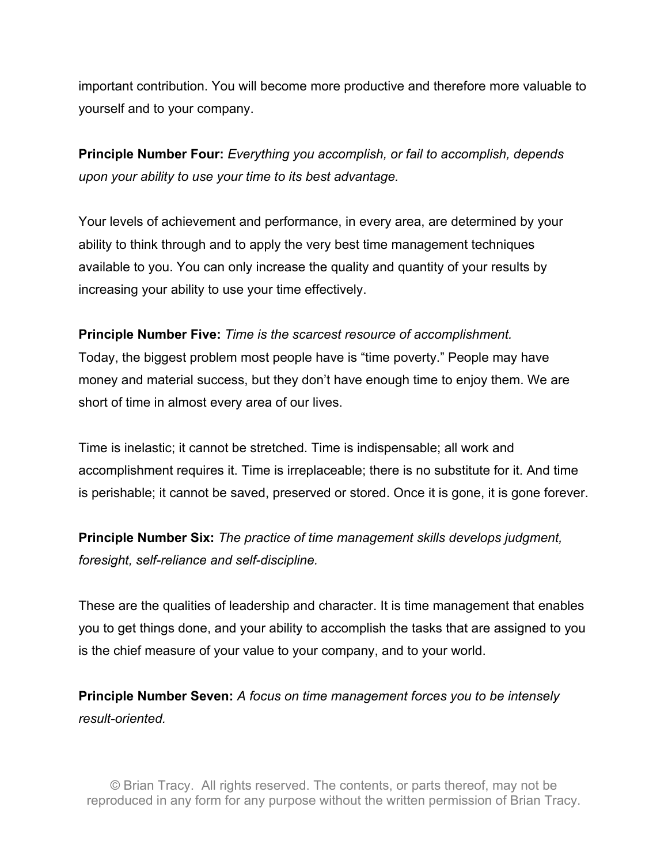important contribution. You will become more productive and therefore more valuable to yourself and to your company.

**Principle Number Four:** *Everything you accomplish, or fail to accomplish, depends upon your ability to use your time to its best advantage.*

Your levels of achievement and performance, in every area, are determined by your ability to think through and to apply the very best time management techniques available to you. You can only increase the quality and quantity of your results by increasing your ability to use your time effectively.

**Principle Number Five:** *Time is the scarcest resource of accomplishment.* Today, the biggest problem most people have is "time poverty." People may have money and material success, but they don't have enough time to enjoy them. We are short of time in almost every area of our lives.

Time is inelastic; it cannot be stretched. Time is indispensable; all work and accomplishment requires it. Time is irreplaceable; there is no substitute for it. And time is perishable; it cannot be saved, preserved or stored. Once it is gone, it is gone forever.

**Principle Number Six:** *The practice of time management skills develops judgment, foresight, self-reliance and self-discipline.*

These are the qualities of leadership and character. It is time management that enables you to get things done, and your ability to accomplish the tasks that are assigned to you is the chief measure of your value to your company, and to your world.

**Principle Number Seven:** *A focus on time management forces you to be intensely result-oriented.*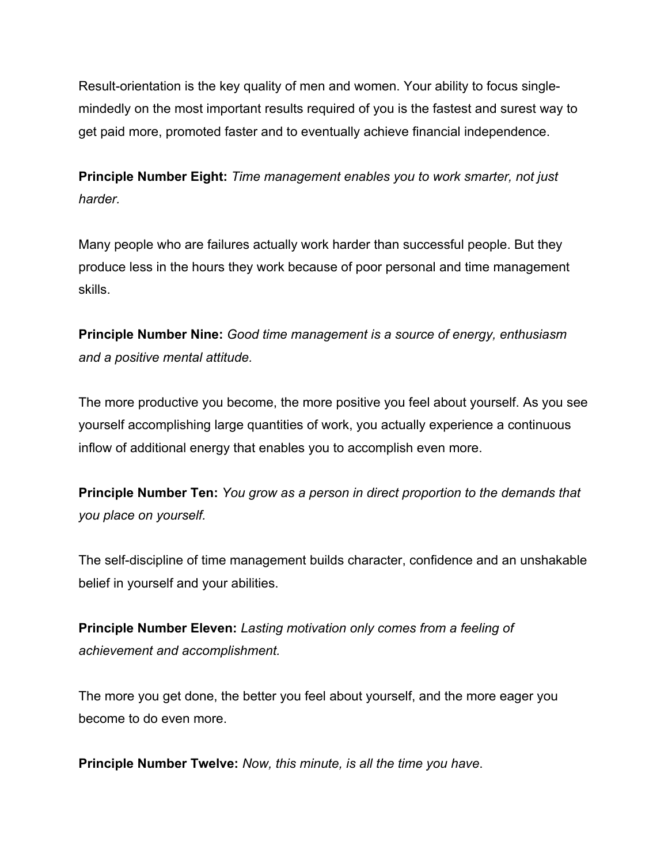Result-orientation is the key quality of men and women. Your ability to focus singlemindedly on the most important results required of you is the fastest and surest way to get paid more, promoted faster and to eventually achieve financial independence.

**Principle Number Eight:** *Time management enables you to work smarter, not just harder.*

Many people who are failures actually work harder than successful people. But they produce less in the hours they work because of poor personal and time management skills.

**Principle Number Nine:** *Good time management is a source of energy, enthusiasm and a positive mental attitude.*

The more productive you become, the more positive you feel about yourself. As you see yourself accomplishing large quantities of work, you actually experience a continuous inflow of additional energy that enables you to accomplish even more.

**Principle Number Ten:** *You grow as a person in direct proportion to the demands that you place on yourself.*

The self-discipline of time management builds character, confidence and an unshakable belief in yourself and your abilities.

**Principle Number Eleven:** *Lasting motivation only comes from a feeling of achievement and accomplishment.*

The more you get done, the better you feel about yourself, and the more eager you become to do even more.

**Principle Number Twelve:** *Now, this minute, is all the time you have*.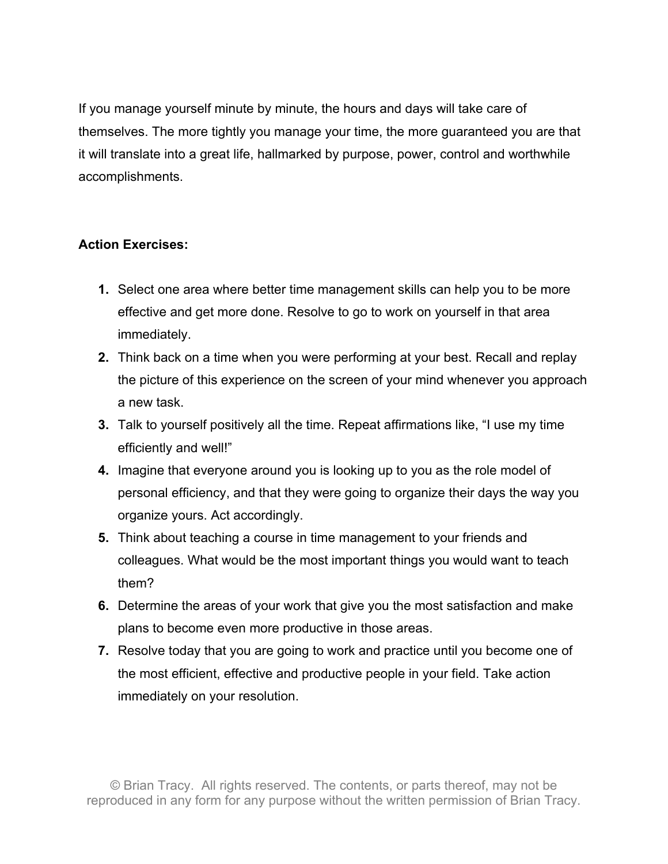If you manage yourself minute by minute, the hours and days will take care of themselves. The more tightly you manage your time, the more guaranteed you are that it will translate into a great life, hallmarked by purpose, power, control and worthwhile accomplishments.

# **Action Exercises:**

- **1.** Select one area where better time management skills can help you to be more effective and get more done. Resolve to go to work on yourself in that area immediately.
- **2.** Think back on a time when you were performing at your best. Recall and replay the picture of this experience on the screen of your mind whenever you approach a new task.
- **3.** Talk to yourself positively all the time. Repeat affirmations like, "I use my time efficiently and well!"
- **4.** Imagine that everyone around you is looking up to you as the role model of personal efficiency, and that they were going to organize their days the way you organize yours. Act accordingly.
- **5.** Think about teaching a course in time management to your friends and colleagues. What would be the most important things you would want to teach them?
- **6.** Determine the areas of your work that give you the most satisfaction and make plans to become even more productive in those areas.
- **7.** Resolve today that you are going to work and practice until you become one of the most efficient, effective and productive people in your field. Take action immediately on your resolution.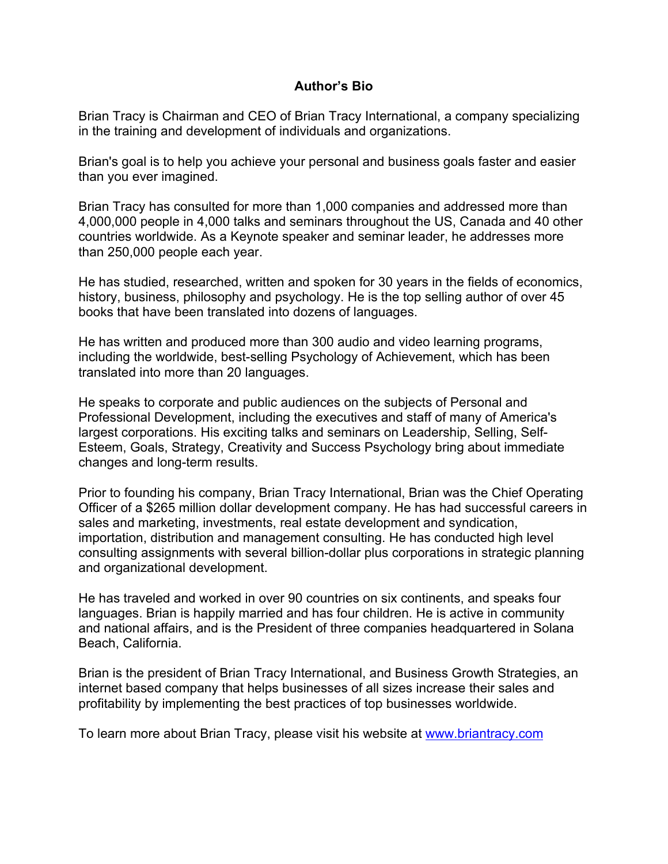#### **Author's Bio**

Brian Tracy is Chairman and CEO of Brian Tracy International, a company specializing in the training and development of individuals and organizations.

Brian's goal is to help you achieve your personal and business goals faster and easier than you ever imagined.

Brian Tracy has consulted for more than 1,000 companies and addressed more than 4,000,000 people in 4,000 talks and seminars throughout the US, Canada and 40 other countries worldwide. As a Keynote speaker and seminar leader, he addresses more than 250,000 people each year.

He has studied, researched, written and spoken for 30 years in the fields of economics, history, business, philosophy and psychology. He is the top selling author of over 45 books that have been translated into dozens of languages.

He has written and produced more than 300 audio and video learning programs, including the worldwide, best-selling Psychology of Achievement, which has been translated into more than 20 languages.

He speaks to corporate and public audiences on the subjects of Personal and Professional Development, including the executives and staff of many of America's largest corporations. His exciting talks and seminars on Leadership, Selling, Self-Esteem, Goals, Strategy, Creativity and Success Psychology bring about immediate changes and long-term results.

Prior to founding his company, Brian Tracy International, Brian was the Chief Operating Officer of a \$265 million dollar development company. He has had successful careers in sales and marketing, investments, real estate development and syndication, importation, distribution and management consulting. He has conducted high level consulting assignments with several billion-dollar plus corporations in strategic planning and organizational development.

He has traveled and worked in over 90 countries on six continents, and speaks four languages. Brian is happily married and has four children. He is active in community and national affairs, and is the President of three companies headquartered in Solana Beach, California.

Brian is the president of Brian Tracy International, and Business Growth Strategies, an internet based company that helps businesses of all sizes increase their sales and profitability by implementing the best practices of top businesses worldwide.

To learn more about Brian Tracy, please visit his website at www.briantracy.com